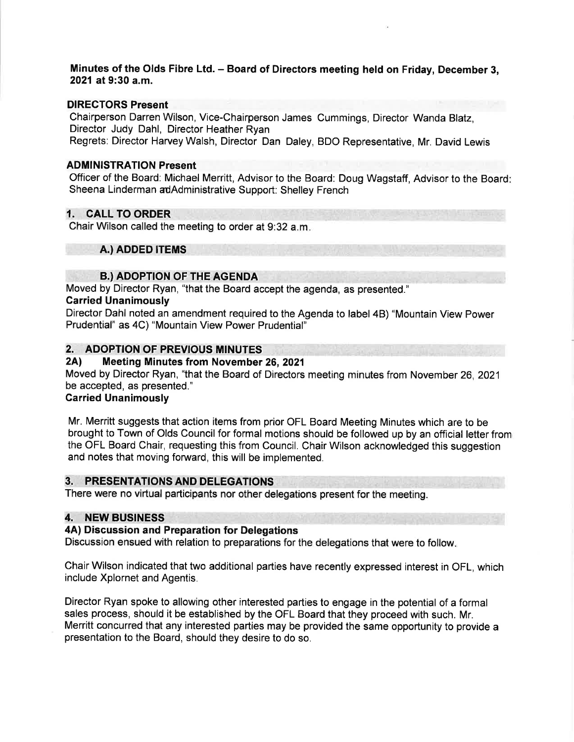# Minutes of the Olds Fibre Ltd. - Board of Directors meeting held on Friday, December 3, 2021 at 9:30 a.m.

# DIRECTORS Present

Chairperson Darren Wilson, Vice-Chairperson James Cummings, Director Wanda Blatz, Director Judy Dahl, Director Heather Ryan

Regrets: Director Harvey Walsh, Director Dan Daley, BDO Representative, Mr. David Lewis

# ADMINISTRATION Present

Officer of the Board: Michael Merritt, Advisor to the Board: Doug Wagstaff, Advisor to the Board Sheena Linderman adAdministrative Support: Shelley French

# 1. CALL TO ORDER

Chair Wilson called the meeting to order at 9:32 a.m

# A.) ADDED ITEMS

# B.) ADOPTION OF THE AGENDA

Moved by Director Ryan, "that the Board accept the agenda, as presented."

# Carried Unanimously

Director Dahl noted an amendment required to the Agenda to label 48) "Mountain View Power Prudential" as 4C) "Mountain View Power Prudential"

# 2. ADOPTION OF PREVIOUS MINUTES<br>2A) Meeting Minutes from November 26, 2021

Moved by Director Ryan, "that the Board of Directors meeting minutes from November 26,2021 be accepted, as presented."

# Carried Unanimously

Mr. Merritt suggests that action items from prior OFL Board Meeting Minutes which are to be brought to Town of Olds Council for formal motions should be followed up by an official letter from the OFL Board Chair, requesting this from Council. Chair Wilson acknowledged this suggestion and notes that moving forward, this will be implemented.

# 3. PRESENTATIONS AND DELEGATIONS

There were no virtual participants nor other delegations present for the meeting.

# 4. NEW BUSINESS

# 4A) Discussion and Preparation for Delegations

Discussion ensued with relation to preparations for the delegations that were to follow

Chair Wilson indicated that two additional parties have recently expressed interest in OFL, which include Xplornet and Agentis.

Director Ryan spoke to allowing other interested parties to engage in the potential of a formal sales process, should it be established by the OFL Board that they proceed with such. Mr. Merritt concurred that any interested parties may be provided the same opportunity to provide a presentation to the Board, should they desire to do so.